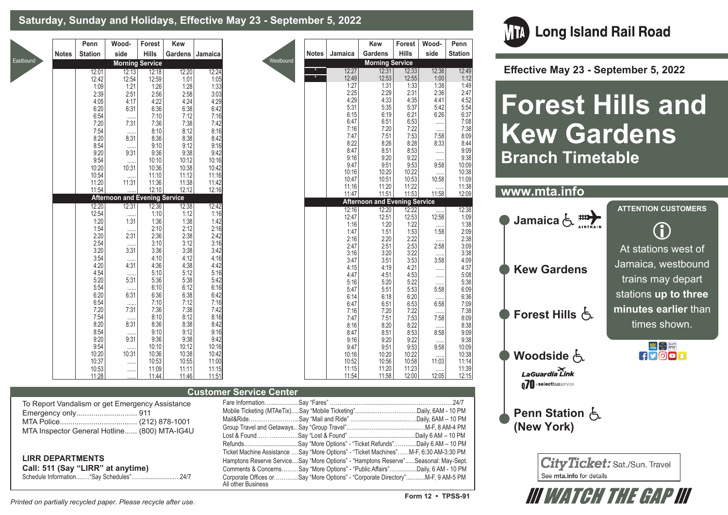### **Saturday, Sunday and Holidays, Effective May 23 - September 5, 2022**

|              | Penn           | Wood-                                           | Forest                 | Kew            |                |                                |              |                | Kew                                  | Forest         | Wood-            | Penn           |
|--------------|----------------|-------------------------------------------------|------------------------|----------------|----------------|--------------------------------|--------------|----------------|--------------------------------------|----------------|------------------|----------------|
| <b>Notes</b> | <b>Station</b> | side                                            | Hills                  | Gardens        | Jamaica        |                                | <b>Notes</b> | Jamaica        | Gardens                              | <b>Hills</b>   | side             | <b>Station</b> |
|              |                |                                                 | <b>Morning Service</b> |                |                | Westbound                      |              |                | <b>Morning Service</b>               |                |                  |                |
|              | 12:01          | 12:13                                           | 12:18                  | 12:20          | 12:24          |                                |              | 12:27          | 12:31                                | 12:33          | 12:38            | 12:49          |
|              | 12:42          | 12:54                                           | 12:59                  | 1:01           | 1:05           |                                |              | 12:49          | 12:53                                | 12:55          | 1:00             | 1:12           |
|              | 1:09           | 1:21                                            | 1:26                   | 1:28           | 1:33           |                                |              | 1:27           | 1:31                                 | 1:33           | 1:38             | 1:49           |
|              | 2:39           | 2:51                                            | 2:56                   | 2:58           | 3:03           |                                |              | 2:25<br>4:29   | 2:29<br>4:33                         | 2:31<br>4:35   | 2:36<br>4:41     | 2:47<br>4:52   |
|              | 4:05<br>6:20   | 4:17<br>6:31                                    | 4:22<br>6:36           | 4:24<br>6:38   | 4:29<br>6:42   |                                |              | 5:31           | 5:35                                 | 5:37           | 5:42             | 5:54           |
|              | 6:54           |                                                 | 7:10                   | 7:12           | 7:16           |                                |              | 6:15           | 6:19                                 | 6:21           | 6:26             | 6:37           |
|              | 7:20           | 7:31                                            | 7:36                   | 7:38           | 7:42           |                                |              | 6:47           | 6:51                                 | 6:53           | .                | 7:08           |
|              | 7:54           | $\cdots$                                        | 8:10                   | 8:12           | 8:16           |                                |              | 7:16           | 7:20                                 | 7:22           |                  | 7:38           |
|              | 8:20           | 8:31                                            | 8:36                   | 8:38           | 8:42           |                                |              | 7:47<br>8:22   | 7:51<br>8:26                         | 7:53<br>8:28   | 7:58<br>8:33     | 8:09<br>8:44   |
|              | 8:54<br>9:20   | 1.1.1.1<br>9:31                                 | 9:10<br>9:36           | 9:12<br>9:38   | 9:16<br>9:42   |                                |              | 8:47           | 8:51                                 | 8:53           | $\cdots$         | 9:09           |
|              | 9:54           |                                                 | 10:10                  | 10:12          | 10:16          |                                |              | 9:16           | 9:20                                 | 9:22           |                  | 9:38           |
|              | 10:20          | 10:31                                           | 10:36                  | 10:38          | 10:42          |                                |              | 9:47           | 9:51                                 | 9:53           | 9:58             | 10:09          |
|              | 10:54          | $\cdots$                                        | 11:10                  | 11:12          | 11:16          |                                |              | 10:16          | 10:20<br>10:51                       | 10:22<br>10:53 | 11111            | 10:38<br>11:09 |
|              | 11:20          | 11:31                                           | 11:36                  | 11:38          | 11:42          |                                |              | 10:47<br>11:16 | 11:20                                | 11:22          | 10:58            | 11:38          |
|              | 11:54          |                                                 | 12:10                  | 12:12          | 12:16          |                                |              | 11:47          | 11:51                                | 11:53          | 11:58            | 12:09          |
|              |                | <b>Afternoon and Evening Service</b><br>12:31   |                        |                |                |                                |              |                | <b>Afternoon and Evening Service</b> |                |                  |                |
|              | 12:20<br>12:54 | 1.111                                           | 12:36<br>1:10          | 12:38<br>1:12  | 12:42<br>1:16  |                                |              | 12:16          | 12:20                                | 12:22          |                  | 12:38          |
|              | 1:20           | 1:31                                            | 1:36                   | 1:38           | 1:42           |                                |              | 12:47          | 12:51                                | 12:53          | 12:58            | 1:09           |
|              | 1:54           |                                                 | 2:10                   | 2:12           | 2:16           |                                |              | 1:16<br>1:47   | 1:20<br>1:51                         | 1:22<br>1:53   | $\cdots$<br>1:58 | 1:38<br>2:09   |
|              | 2:20           | 2:31                                            | 2:36                   | 2:38           | 2:42           |                                |              | 2:16           | 2:20                                 | 2:22           | 1.1.1.1          | 2:38           |
|              | 2:54<br>3:20   | <br>3:31                                        | 3:10                   | 3:12<br>3:38   | 3:16<br>3:42   |                                |              | 2:47           | 2:51                                 | 2:53           | 2:58             | 3:09           |
|              | 3:54           |                                                 | 3:36<br>4:10           | 4:12           | 4:16           |                                |              | 3:16           | 3:20                                 | 3:22           |                  | 3:38           |
|              | 4:20           | $\cdots$<br>4:31                                | 4:36                   | 4:38           | 4:42           |                                |              | 3:47<br>4:15   | 3:51<br>4:19                         | 3:53<br>4:21   | 3:58             | 4:09<br>4:37   |
|              | 4:54           |                                                 | 5:10                   | 5:12           | 5:16           |                                |              | 4:47           | 4:51                                 | 4:53           | <br>             | 5:08           |
|              | 5:20           | 5:31                                            | 5:36                   | 5:38           | 5:42           |                                |              | 5:16           | 5:20                                 | 5:22           |                  | 5:38           |
|              | 5:54<br>6:20   | 1.1.1.1<br>6:31                                 | 6:10<br>6:36           | 6:12<br>6:38   | 6:16<br>6:42   |                                |              | 5:47           | 5:51                                 | 5:53           | 5:58             | 6:09           |
|              | 6:54           | $\cdots$                                        | 7:10                   | 7:12           | 7:16           |                                |              | 6:14<br>6:47   | 6:18<br>6:51                         | 6:20<br>6:53   | <br>6:58         | 6:36<br>7:09   |
|              | 7:20           | 7:31                                            | 7:36                   | 7:38           | 7:42           |                                |              | 7:16           | 7:20                                 | 7:22           | $\cdots$         | 7:38           |
|              | 7:54           | 1.1.1.1                                         | 8:10                   | 8:12           | 8:16           |                                |              | 7:47           | 7:51                                 | 7:53           | 7:58             | 8:09           |
|              | 8:20<br>8:54   | 8:31                                            | 8:36<br>9:10           | 8:38<br>9:12   | 8:42<br>9:16   |                                |              | 8:16           | 8:20                                 | 8:22           |                  | 8:38           |
|              | 9:20           | 1.1.1.1<br>9:31                                 | 9:36                   | 9:38           | 9:42           |                                |              | 8:47<br>9:16   | 8:51<br>9:20                         | 8:53<br>9:22   | 8:58             | 9:09<br>9:38   |
|              | 9:54           | $\cdots$                                        | 10:10                  | 10:12          | 10:16          |                                |              | 9:47           | 9:51                                 | 9:53           | 1.1.1.1<br>9:58  | 10:09          |
|              | 10:20          | 10:31                                           | 10:36                  | 10:38          | 10:42          |                                |              | 10:16          | 10:20                                | 10:22          | 11111            | 10:38          |
|              | 10:37          |                                                 | 10:53                  | 10:55          | 11:00          |                                |              | 10:52          | 10:56                                | 10:58          | 11:03            | 11:14          |
|              | 10:53<br>11:28 |                                                 | 11:09<br>11:44         | 11:11<br>11:46 | 11:15<br>11:51 |                                |              | 11:15<br>11:54 | 11:20<br>11:58                       | 11:23<br>12:00 | 12:05            | 11:39<br>12:15 |
|              |                |                                                 |                        |                |                |                                |              |                |                                      |                |                  |                |
|              |                |                                                 |                        |                |                | <b>Customer Service Center</b> |              |                |                                      |                |                  |                |
|              |                | To Report Vandalism or get Emergency Assistance |                        |                |                |                                |              |                |                                      |                |                  | .24/7          |
|              |                |                                                 |                        |                |                |                                |              |                |                                      |                |                  |                |
|              |                |                                                 |                        |                |                |                                |              |                |                                      |                |                  |                |

| inci ocrvice ochter |                                                                                      |  |
|---------------------|--------------------------------------------------------------------------------------|--|
|                     |                                                                                      |  |
|                     |                                                                                      |  |
|                     |                                                                                      |  |
|                     |                                                                                      |  |
|                     |                                                                                      |  |
|                     | RefundsSay "More Options" - "Ticket Refunds"Daily 6 AM - 10 PM                       |  |
|                     | Ticket Machine Assistance Say "More Options" - "Ticket Machines"M-F, 6:30 AM-3:30 PM |  |
|                     | Hamptons Reserve ServiceSay "More Options" - "Hamptons Reserve"Seasonal: May-Sept.   |  |
|                     | Comments & ConcernsSay "More Options" - "Public Affairs"Daily, 6 AM - 10 PM          |  |
| All other Business  | Corporate Offices orSay "More Options" - "Corporate Directory"M-F, 9 AM-5 PM         |  |



 **Effective May 23 - September 5, 2022**

# **Forest Hills and Kew Gardens Branch Timetable**



III WATCH THE GAP III

**LIRR DEPARTMENTS**

Schedule Information........"Say Schedules"...

MTA Inspector General Hotline...... (800) MTA-IG4U

**Call: 511 (Say "LIRR" at anytime)**